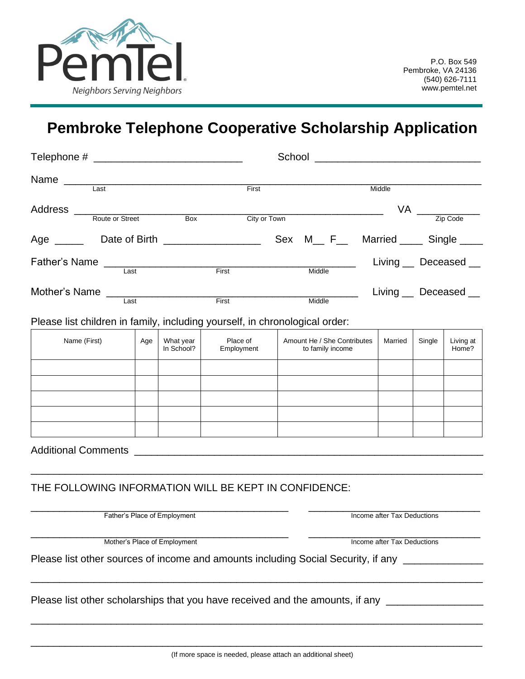

## **Pembroke Telephone Cooperative Scholarship Application**

| Name                                                        |                                   |     |                         | First                                                                                              |                                                 |  |  | Middle                |         |                                             |                       |  |
|-------------------------------------------------------------|-----------------------------------|-----|-------------------------|----------------------------------------------------------------------------------------------------|-------------------------------------------------|--|--|-----------------------|---------|---------------------------------------------|-----------------------|--|
|                                                             |                                   |     |                         |                                                                                                    |                                                 |  |  |                       |         |                                             |                       |  |
|                                                             | Address<br>Route or Street<br>Box |     | City or Town            |                                                                                                    |                                                 |  |  |                       |         | $VA$ $\frac{ }{ \text{ } z \text{ip Code}}$ |                       |  |
|                                                             |                                   |     |                         | Sex M <sub>__</sub> F <sub>__</sub> Married ____ Single ___                                        |                                                 |  |  |                       |         |                                             |                       |  |
|                                                             |                                   |     |                         | First <b>First</b>                                                                                 | Middle                                          |  |  |                       |         |                                             | Living __ Deceased __ |  |
| Mother's Name                                               |                                   |     |                         | First <b>First</b>                                                                                 | Middle                                          |  |  | Living __ Deceased __ |         |                                             |                       |  |
|                                                             |                                   |     |                         | Please list children in family, including yourself, in chronological order:                        |                                                 |  |  |                       |         |                                             |                       |  |
| Name (First)                                                |                                   | Age | What year<br>In School? | Place of<br>Employment                                                                             | Amount He / She Contributes<br>to family income |  |  |                       | Married | Single                                      | Living at<br>Home?    |  |
|                                                             |                                   |     |                         |                                                                                                    |                                                 |  |  |                       |         |                                             |                       |  |
|                                                             |                                   |     |                         |                                                                                                    |                                                 |  |  |                       |         |                                             |                       |  |
|                                                             |                                   |     |                         |                                                                                                    |                                                 |  |  |                       |         |                                             |                       |  |
|                                                             |                                   |     |                         |                                                                                                    |                                                 |  |  |                       |         |                                             |                       |  |
|                                                             |                                   |     |                         |                                                                                                    |                                                 |  |  |                       |         |                                             |                       |  |
|                                                             |                                   |     |                         |                                                                                                    |                                                 |  |  |                       |         |                                             |                       |  |
|                                                             |                                   |     |                         | THE FOLLOWING INFORMATION WILL BE KEPT IN CONFIDENCE:                                              |                                                 |  |  |                       |         |                                             |                       |  |
|                                                             | Father's Place of Employment      |     |                         | Income after Tax Deductions                                                                        |                                                 |  |  |                       |         |                                             |                       |  |
| Mother's Place of Employment<br>Income after Tax Deductions |                                   |     |                         |                                                                                                    |                                                 |  |  |                       |         |                                             |                       |  |
|                                                             |                                   |     |                         | Please list other sources of income and amounts including Social Security, if any ________________ |                                                 |  |  |                       |         |                                             |                       |  |
|                                                             |                                   |     |                         | Please list other scholarships that you have received and the amounts, if any ____________________ |                                                 |  |  |                       |         |                                             |                       |  |
|                                                             |                                   |     |                         |                                                                                                    |                                                 |  |  |                       |         |                                             |                       |  |
|                                                             |                                   |     |                         |                                                                                                    |                                                 |  |  |                       |         |                                             |                       |  |